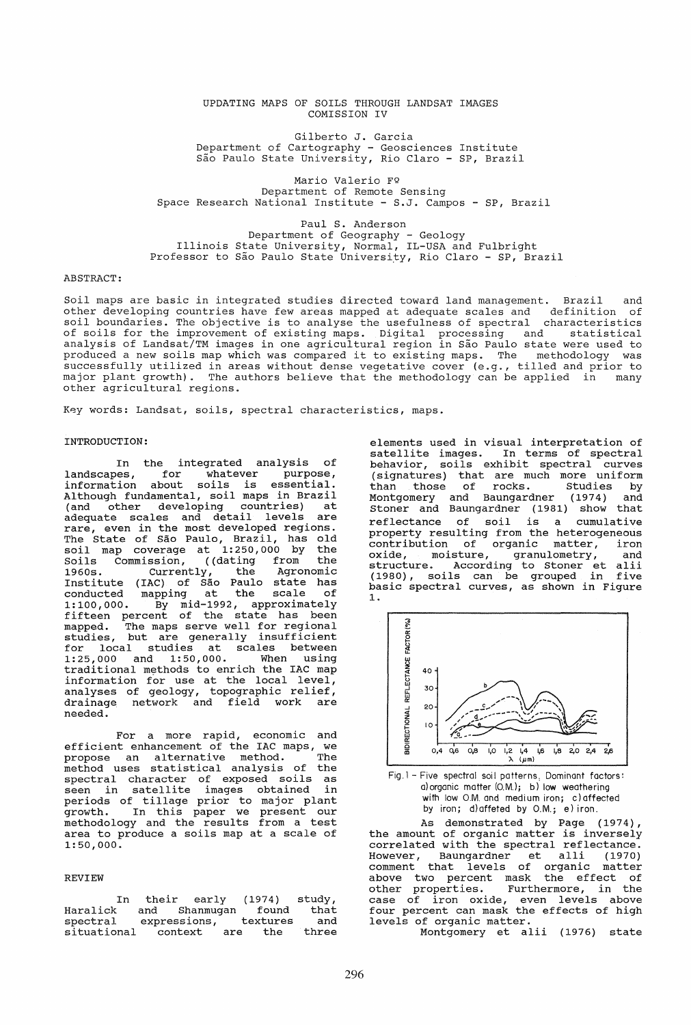#### UPDATING MAPS OF SOILS THROUGH LANDSAT IMAGES COMISSION IV

Gilberto J. Garcia Department of Cartography - Geosciences Institute Sao Paulo State University, Rio Claro - SP, Brazil

Mario Valerio FQ Department of Remote Sensing Space Research National Institute - S.J. Campos - SP, Brazil

Paul S. Anderson Department of Geography - Geology Illinois State University, Normal, IL-USA and Fulbright Professor to São Paulo State University, Rio Claro - SP, Brazil

### ABSTRACT:

Soil maps are basic in integrated studies directed toward land management. Brazil and other developing countries have few areas mapped at adequate scales and definition of soil boundaries. The objective is to analyse the usefulness 6f spectral characteristics of soils for the improvement of existing maps. Digital processing and statistical analysis of Landsat/TM images in one agricultural region in Sao Paulo state were used to produced a new soils map which was compared it to existing maps. The methodology was successfully utilized in areas without dense vegetative cover (e.g., tilled and prior to major plant growth). The authors believe that the methodology can be applied in many major prance growsh, a rho me

Key words: Landsat, soils, spectral characteristics, maps.

# INTRODUCTION:

In the integrated analysis of<br>landscapes, for whatever purpose, landscapes, for whatever purpose, information about soils is essential. information about soils is essential.<br>Although fundamental, soil maps in Brazil<br>(and other developing countries) at other developing countries) adequate scales and detail levels are rare, even in the most developed regions. The State of Sao Paulo, Brazil, has old soil map coverage at 1:250,000 by the Soils Commission, ((dating from the Soils Commission, ((dating from the<br>1960s. Currently, the Agronomic<br>Institute (IAC) of São Paulo state has Institute (IAC) of São Paulo state has<br>conducted mapping at the scale of conducted mapping at the scale of 1:100,000. By mid-1992, approximately fifteen percent of the state has been mapped. The maps serve well for regional mapped: The mapp berve went for regional for local studies at scales between<br>1:25,000 and 1:50,000. When using  $1: 25,000$  and  $1: 50,000$ . traditional methods to enrich the lAC map information for use at the local level, analyses of geology, topographic relief, drainage network and field work are needed.

For a more rapid, economic and<br>efficient enhancement of the IAC maps, we efficient enhancement of the lAC maps, we propose an alternative method. The propose an arternative method. The<br>method uses statistical analysis of the spectral character of exposed soils as seen ln satellite images obtained in periods of tillage prior to major plant growth. In this paper we present our methodology and the results from a test area to produce a soils map at a scale of area to produce a soils map at a scale of 1:50,000.

# REVIEW

In their early<br>k and Shanmugan Haralick and (1974) found spectral expressions, t<br>situational context are situational textures<br>e the study, that and three

elements used in visual interpretation of satellite images. In terms of spectral behavior, soils exhibit spectral curves (signatures) that are much more uniform than those of rocks. Studies by Montgomery and Baungardner (1974) and Stoner and Baungardner (1981) show that reflectance of soil is a cumulative property resulting from the heterogeneous contribution of organic matter, iron oxide, moisture, granulometry, and structure. According to Stoner et alii (1980), soils can be grouped in five basic spectral curves, as shown in Figure 1.



Fig.l- Five spectral soil patterns: Dominant factors: a)organic matter (O.M.); b) low weathering with low O.M. and medium iron; c) affected by iron; d)affeted by O.M.; e) iron.

As demonstrated by Page (1974), the amount of organic matter is inversely correlated with the spectral reflectance. However, Baungardner et alIi (1970) comment that levels of organic matter above two percent mask the effect of other properties. Furthermore, in the case of iron oxide, even levels above four percent can mask the effects of high levels of organic matter.

Montgomery et alii (1976) state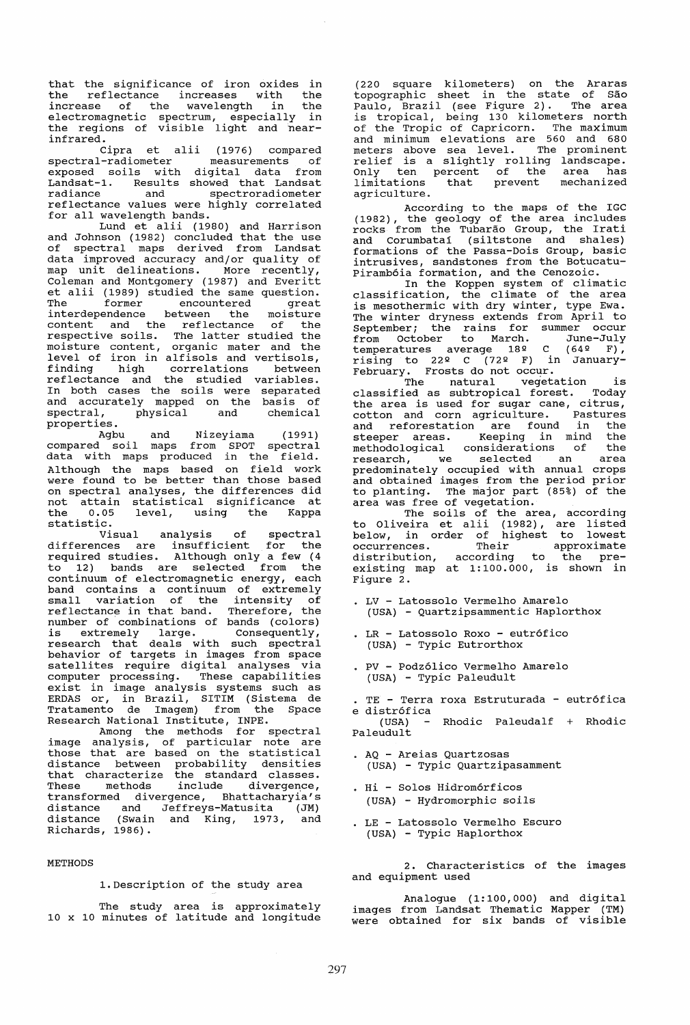that the significance of iron oxides in the reflectance increases with the increase of the wavelength in the electromagnetic spectrum, especially in the regions of visible light and near-<br>infrared.

infrared.<br>Cipra et alii (1976) compared<br>spectral-radiometer measurements of spectral-radiometer measurements of exposed soils with digital data from Landsat-l. Results showed that Landsat radiance and spectroradiometer reflectance values were highly correlated for all wavelength bands.

Lund et alii (1980) and Harrison and Johnson (1982) concluded that the use of spectral maps derived from Landsat data improved accuracy and/or quality of map unit delineations. More recently, Coleman and Montgomery (1987) and Everitt et alii (1989) studied the same question. The former encountered great interdependence between the moisture modification content and the reflectance of the respective soils. The latter studied the moisture content, organic mater and the level of iron in alfisols and vertisols, finding high correlations between reflectance and the studied variables. In both cases the soils were separated and accurately mapped on the basis of spectral, physical and chemical spectral,<br>properties.

Agbu and Nizeyiama (1991) compared soil maps from SPOT spectral data with maps produced in the field. Although the maps based on field work were found to be better than those based on spectral analyses, the differences did on spectral analyses, the differences and the 0.05 level, using the Kappa statistic.

Visual analysis of spectral differences are insufficient for the required studies. Although only a few (4 to 12) bands are selected from the continuum of electromagnetic energy, each band contains a continuum of extremely small variation of the intensity of Email variation of the intensity of number of combinations of bands (colors) number of combinations of bands (corors)<br>is extremely large. Consequently, research that deals with such spectral behavior of targets in images from space satellites require digital analyses via computer processing. These capabilities exist in image analysis systems such as ERDAS or, in Brazil, SITIM (Sistema de ERDAS or, in Brazil, SITIM (Sistema de<br>Tratamento de Imagem) from the Space Research National Institute, INPE.

Among the methods for spectral image analysis, of particular note are those that are based on the statistical distance between probability densities arbiance between presubility demolecules These methods include divergence, transformed divergence, Bhattacharyia's distance and Jeffreys-Matusita (JM) distance (Swain and King, 1973, and Richards, 1986).

#### METHODS

1.Description of the study area

The study area is approximately 10 x 10 minutes of latitude and longitude

(220 square kilometers) on the Araras topographic sheet in the state of Sao Paulo, Brazil (see Figure 2). The area is tropical, being 130 kilometers north of the Tropic of Capricorn. The maximum and minimum elevations are 560 and 680 meters above sea level. The prominent relief is a slightly rolling landscape. Only ten percent of the area has limitations that prevent mechanized agriculture.

According to the maps of the IGC (1982), the geology of the area includes rocks from the Tubarao Group, the Irati and Corumbatai (siltstone and shales) formations of the Passa-Dois Group, basic intrusives, sandstones from the Botucatu-Piramb6ia formation, and the Cenozoic.

In the Koppen system of climatic classification, the climate of the area is mesothermic with dry winter, type Ewa. The winter dryness extends from April to September; the rains for summer occur from October to March. June-July temperatures average  $18^{\circ}$  C  $(64^{\circ}$  F), rising to 22º C (72º F) in January-February. Frosts do not occur.<br>The natural vegetation is

The natural vegetation is<br>classified as subtropical forest. Today the area is used for sugar cane, citrus, cotton and corn agriculture. Pastures and reforestation are found in the steeper areas. Keeping in mind the methodological considerations of the research, we selected an area predominately occupied with annual crops and obtained images from the period prior to planting. The major part (85%) of the<br>area was free of vegetation.

The soils of the area, according to Oliveira et alii (1982), are listed below, in order of highest to lowest<br>occurrences. Their approximate below, in order or interest to the pre-<br>occurrences. Their approximate<br>distribution, according to the preexisting map at 1:100.000, is shown in Figure 2.

- · LV Latossolo Vermelho Amarelo (USA) - Quartzipsammentic Haplorthox
- LR Latossolo Roxo eutr6fico (USA) - Typic Eutrorthox
- · PV Podz61ico Vermelho Amarelo (USA) - Typic Paleudult
- TE Terra roxa Estruturada eutr6fica e distr6fica

Rhodic Paleudalf + Rhodic Paleudult

- · AQ Areias Quartzosas (USA) - Typic Quartzipasamment
- · Hi Solos Hidrom6rficos (USA) - Hydromorphic soils
- · LE Latossolo Vermelho Escuro (USA) - Typic Haplorthox

2. Characteristics of the images and equipment used

Analogue (1:100,000) and digital images from Landsat Thematic Mapper (TM) were obtained for six bands of visible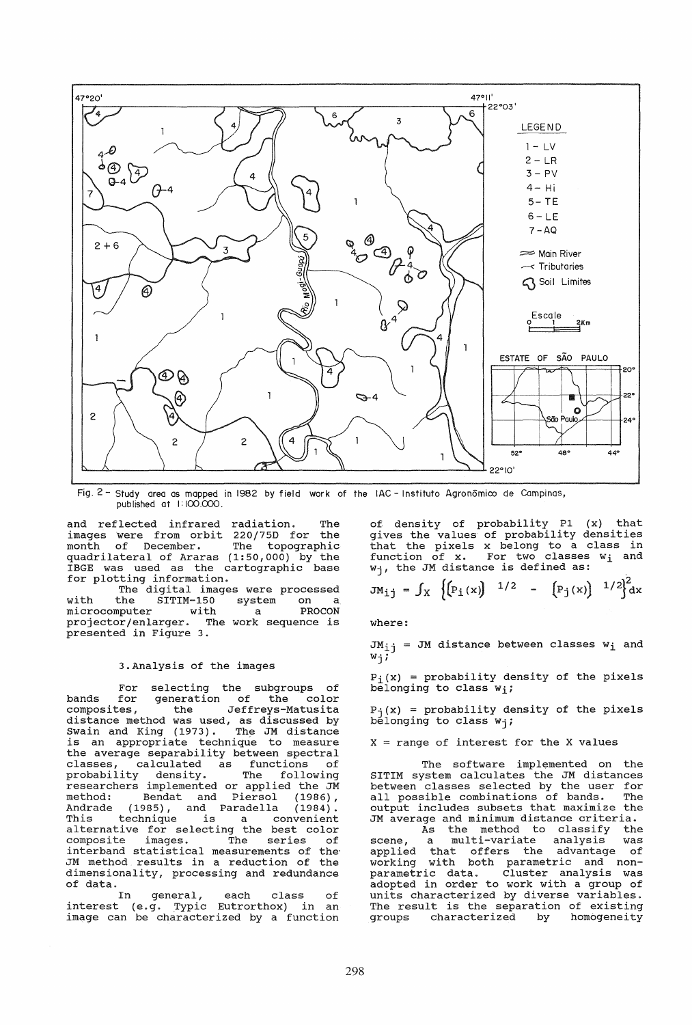

Fig. 2 - Study area as mapped in 1982 by field work of the IAC - Instituto Agronomico de Campinas, published at I: 100.000.

and reflected infrared radiation. The images were from orbit 220/75D for the month of December. quadrilateral of Araras (1:50,000) by the IBGE was used as the cartographic base for plotting information.

The digital images were processed<br>the SITIM-150 system on a with the SITIM-150 system on a<br>microcomputer with a PROCON projector/enlarger. The work sequence is presented in Figure 3.

## 3.Analysis of the images

For selecting the subgroups of bands for generation of the color composites, the Jeffreys-Matusita distance method was used, as discussed by Swain and King (1973). The JM distance is an appropriate technique to measure the average separability between spectral the average separability between spectral<br>classes, calculated as functions of probability density. The following researchers implemented or applied the JM method: Bendat and Piersol (1986) , Andrade (1985), and Paradella (1984). Andrade (1985), and Paradella (1984).<br>This technique is a convenient alternative for selecting the best color arcornactive for Beredering and Sebe coron composite images. The series of<br>interband statistical measurements of the JM method results in a reduction of the dimensionality, processing and redundance of data.

In general, each class of interest (e.g. Typic Eutrorthox) in an image can be characterized by a function of density of probability P1 (x) that gives the values of probability densities that the pixels x belong to a class in function of x. For two classes w<sub>i</sub> and  $W_{\dot{1}}$ , the JM distance is defined as:

$$
JM_{ij} = \int_X \left\{ \left( P_i(x) \right) \, ^{1/2} \, - \, \left( P_j(x) \right) \, ^{1/2} \right\}^2 dx
$$

where:

 $JM_{1j}$  = JM distance between classes  $w_i$  and  $W_j$ ;

 $P_i(x)$  = probability density of the pixels belonging to class  $w_i$ ;

 $P_i(x)$  = probability density of the pixels belonging to class  $w_i$ ;

 $X = range of interest for the X values$ 

The software implemented on the SITIM system calculates the JM distances between classes selected by the user for<br>all possible combinations of bands. The all possible combinations of bands. output includes subsets that maximize the JM average and minimum distance criteria.

As the method to classify the scene, a multi-variate analysis was<br>applied that offers the advantage of working with both parametric and non- parametric data. Cluster analysis was adopted in order to work with a group of adopted in order to work with a group of<br>units characterized by diverse variables. The result is the separation of existing<br>groups characterized by homogeneity characterized by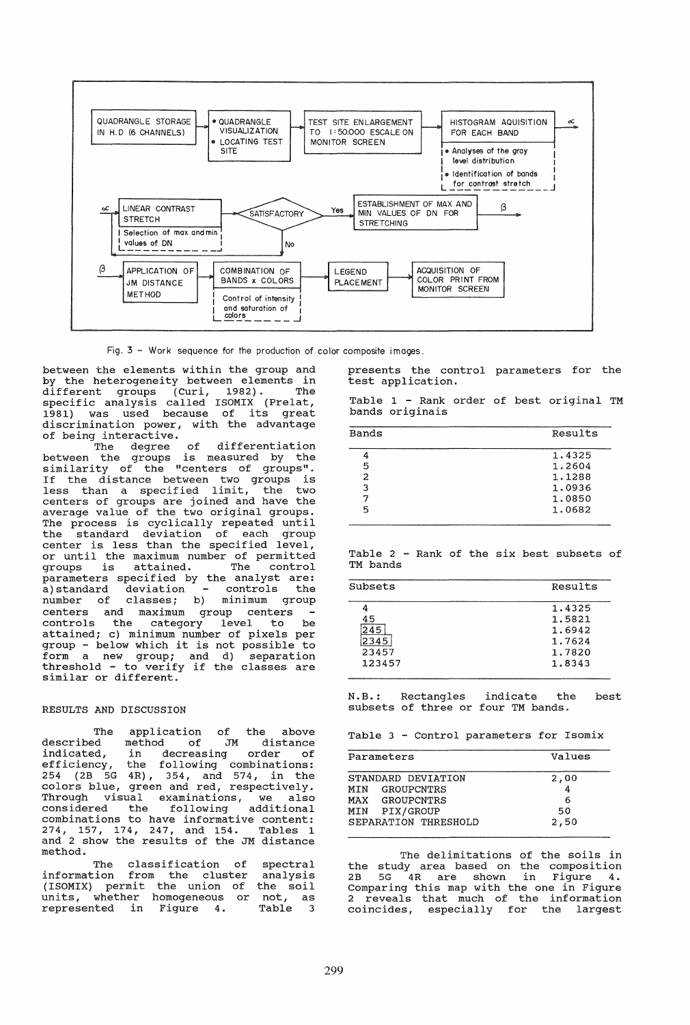

Fig.  $3 -$  Work sequence for the production of color composite images.

between the elements within the group and by the heterogeneity between elements in different groups (Curi, 1982) . The specific analysis called ISOMIX (Prelat, 1981) was used because of its great discrimination power, with the advantage of being interactive.

The degree of differentiation between the groups is measured by the similarity of the "centers of groups". If the distance between two groups is less than a specified limit, the two centers of groups are joined and have the average value of the two original groups. The process is cyclically repeated until the standard deviation of each group center is less than the specified level, or until the maximum number of permitted groups is attained. The control parameters specified by the analyst are:<br>a) standard deviation - controls the number of classes; b) minimum group centers and maximum group centers controls the category level to be attained; c) minimum number of pixels per group - below which it is not possible to form a new group; and d) separation threshold - to verify if the classes are similar or different.

### RESULTS AND DISCUSSION

The application of the above<br>described method of JM distance described method of JM distance<br>indicated, in decreasing order of in decreasing order efficiency, the following combinations: 254 (2B 5G 4R), 354, and 574, in the colors blue, green and red, respectively. Through visual examinations, we also considered the following additional combinations to have informative content: 274, 157, 174, 247, and 154. Tables 1 and 2 show the results of the JM distance method.

The classification of information from the cluster (ISOMIX) permit the union of units, whether homogeneous or not, as<br>represented in Figure 4. Table 3 spectral analysis the soil

presents the control parameters for the test application.

Table 1 - Rank order of best original TM bands originais

| Bands | Results |
|-------|---------|
|       | 1.4325  |
| 5     | 1.2604  |
| 2     | 1.1288  |
| 3     | 1.0936  |
|       | 1,0850  |
| 5     | 1.0682  |

Table 2 - Rank of the six best subsets of TM bands

| Results |
|---------|
| 1.4325  |
| 1.5821  |
| 1.6942  |
| 1.7624  |
| 1.7820  |
| 1.8343  |
|         |

N.B.: Rectangles indicate the subsets of three or four TM bands. best

Table 3 - Control parameters for Isomix

| Parameters           | Values |
|----------------------|--------|
| STANDARD DEVIATION   | 2,00   |
| MIN GROUPCNTRS       |        |
| MAX GROUPCNTRS       | 6      |
| MIN PIX/GROUP        | 50     |
| SEPARATION THRESHOLD | 2,50   |

The delimitations of the soils in the study area based on the composition 2B 5G 4R are shown in Figure 4. Comparing this map with the one in Figure 2 reveals that much of the information coincides, especially for the largest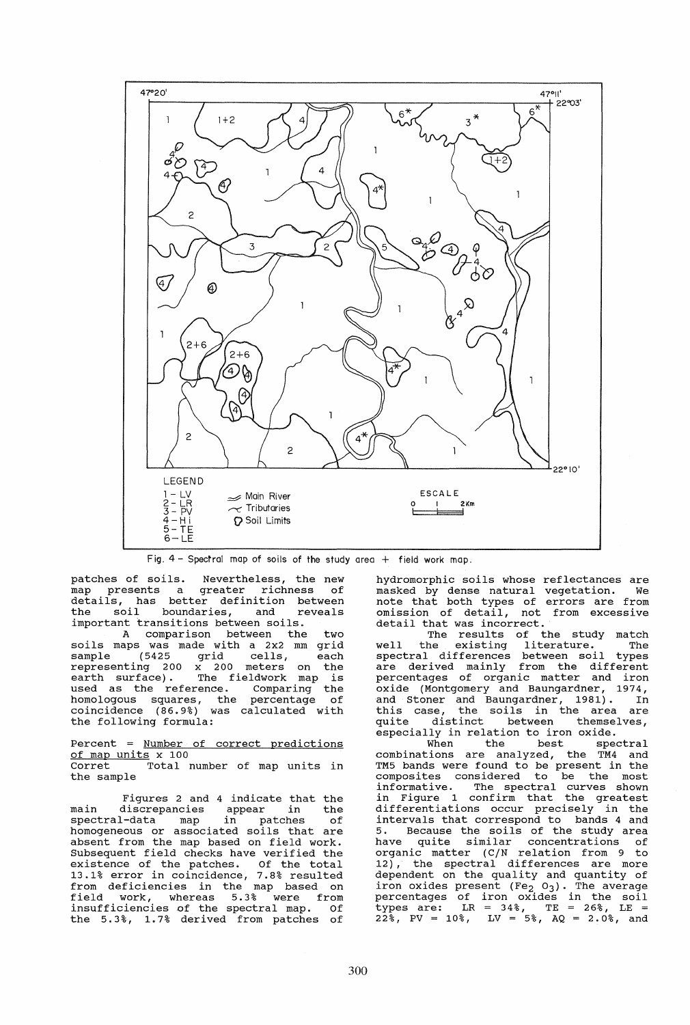

Fig.  $4$  - Spectral map of soils of the study area  $+$  field work map.

patches of soils. Nevertheless, the new<br>map presents a greater richness of details, has better definition between the soil boundaries, and reveals important transitions between soils.

A comparison between the two soils maps was made with a 2x2 mm grid sample (5425 grid cells, each representing 200 x 200 meters on the earth surface). The fieldwork map is earth surface). The fieldwork map is<br>used as the reference. Comparing the homologous squares, the percentage of coincidence (86.9%) was calculated with the following formula:

Percent = Number of correct predictions of map units x 100 Total number of map units in the sample

Figures 2 and 4 indicate that the main discrepancies appear in the<br>spectral-data map in patches of spectral-data map in patches of<br>homogeneous or associated soils that are absent from the map based on field work. Subsequent field checks have verified the babbequent field cheeks have verfited the<br>existence of the patches. Of the total 13.1% error in coincidence, 7.8% resulted from deficiencies in the map based on field work, whereas 5.3 % were from field work, whereas 5.3% were from<br>insufficiencies of the spectral map. Of the 5.3%, 1. 7% derived from patches of

reflectances are vegetation. We errors are from hydromorphic soils whose reflectances are masked by dense natural note that both types of omission of detail, not from excessive detail that was incorrect.

The results of the study match well the existing literature. The spectral differences between soil types are derived mainly from the different percentages of organic matter and iron oxide (Montgomery and Baungardner, 1974, and Stoner and Baungardner, 1981). In<br>this case, the soils in the area are this case, the soils in the area are quite distinct between themselves, especially in relation to iron oxide.

When the best spectral combinations are analyzed, the TM4 and TM5 bands were found to be present in the composites considered to be the most informative. The spectral curves shown in Figure 1 confirm that the greatest differentiations occur precisely in the intervals that correspond to bands 4 and 5. Because the soils of the study area have quite similar concentrations of organic matter (C/N relation from 9 to 12), the spectral differences are more dependent on the quality and quantity of dependent on the quality and quantity of<br>iron oxides present  $(Fe<sub>2</sub> 0<sub>3</sub>)$ . The average percentages of iron oxides in the soil  $\tt types are: \tLR = 34%, \tTE = 26%, \tLE =$  $22\frac{1}{8}$ , PV = 10%, LV = 5%, AQ = 2.0%, and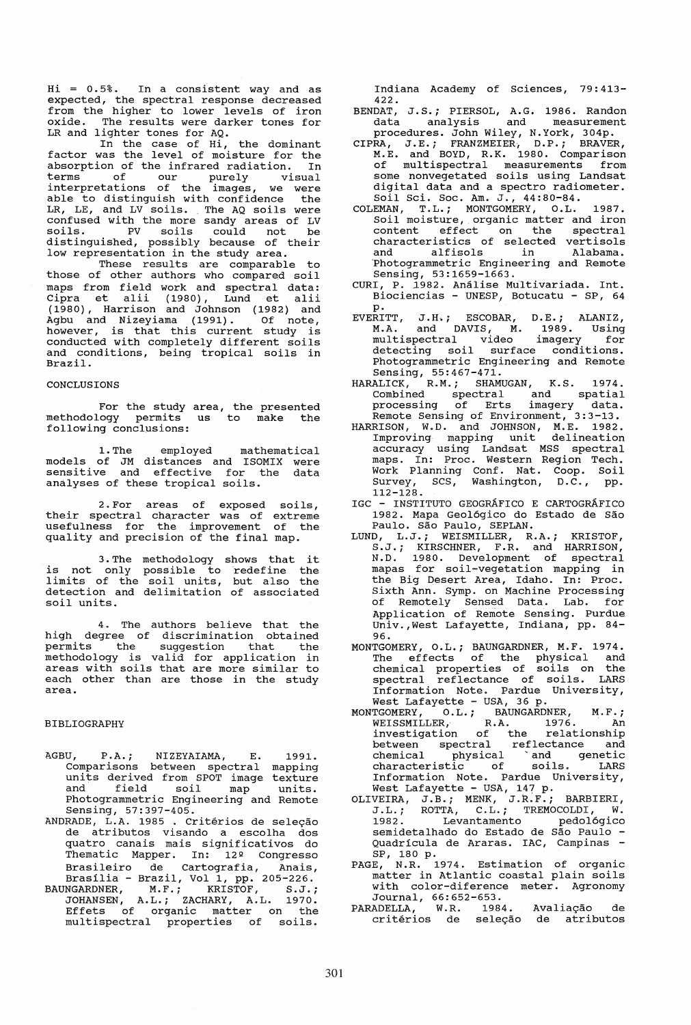Hi = 0.5%. In a consistent way and as expected, the spectral response decreased from the higher to lower levels of iron oxide. The results were darker tones for LR and lighter tones for AQ.

In the case of Hi, the dominant factor was the level of moisture for the absorption of the infrared radiation. In terms of our purely visual interpretations of the images, we were<br>able to distinguish with confidence the LR, *LE,* and LV soils. The AQ soils were confused with the more sandy areas of LV soils. PV soils could not be distinguished, possibly because of their low representation in the study area.<br>These results are comparable to

those of other authors who compared soil maps from field work and spectral data: Cipra et alii (1980), Lund et alii (1980), Harrison and Johnson (1982) and Agbu and Nizeyiama (1991). Of note, however, is that this current study is conducted with completely different soils and conditions, being tropical soils in Brazil.

#### CONCLUSIONS

For the study area, the presented methodology permits us to make the following conclusions:

1.The employed mathematical models of JM distances and ISOMIX were sensitive and effective for the data analyses of these tropical soils.

2.For areas of exposed soils, their spectral character was of extreme usefulness for the improvement of the assignment for the improvement of .

3. The methodology shows that it is not only possible to redefine the limits of the soil units, but also the detection and delimitation of associated soil units.

4. The authors believe that the high degree of discrimination obtained permits the suggestion that the methodology is valid for application in areas with soils that are more similar to each other than are those in the study area.

## BIBLIOGRAPHY

- AGBU, P.A.; NIZEYAIAMA, E. 1991.<br>Comparisons between spectral mapping units derived from SPOT image texture and field soil map units. Photogrammetric Engineering and Remote Sensing, 57:397-405.
- ANDRADE, L.A. 1985 . Critérios de seleção de atributos visando a escolha dos quatro canais mais significativos do Thematic Mapper. In: 12º Congresso Brasileiro de Cartografia, Anais, Brasilia - Brazil, Vol 1, pp. 205-226.
- BAUNGARDNER, M.F.; KRISTOF, S.J.; JOHANSEN, A.L.i ZACHARY, A.L. 1970. Effets of organic matter on the multispectral properties of soils.

Indiana Academy of Sciences, 79: 413- 422.

- BENDAT, J.S.; PIERSOL, A.G. 1986. Randon<br>data analysis and measurement data analysis and measurement
- procedures. John Wiley, N.York, 304p. CIPRA, J.E.; FRANZMEIER, D.P.; BRAVER, M.E. and BOYD, R.K. 1980. Comparison of mul tispectral measurements from some nonvegetated soils using Landsat digital data and a spectro radiometer. Soil Sci. Soc. Am. J., 44:80-84.
- COLEMAN, T.L.; MONTGOMERY, O.L. 1987. Soil moisture, organic matter and iron content effect on the spectral characteristics of selected vertisols and alfisols in Alabama. and alfisols in Alabama.<br>'Photogrammetric Engineering and Remote Sensing, 53:1659-1663.
- CURI, P. 1982. Análise Multivariada. Int. Biociencias - UNESP, Botucatu - SP, 64 p.
- EVERITT, J.H~; ESCOBAR, D.E.; ALANIZ, M.A. and DAVIS, M. 1989. Using multispectral video imagery for materbeocraf viaco imagery for Photogrammetric Engineering and Remote Sensing, 55:467-471.
- HARALICK, R.M.; SHAMUGAN, K.S. 1974. Combined spectral and spatial processing of Erts imagery data. Remote Sensing of Environment, 3:3-13.
- HARRISON, W.D. and JOHNSON, M.E. 1982. Improving mapping unit delineation accuracy using Landsat MSS spectral maps. In: Proc. Western Region Tech. Work Planning Conf. Nat. Coop. Soil Survey, SCS, Washington, D.C., pp. 112-128.
- IGC INSTITUTO GEOGRAFICO E CARTOGRAFICO 1982. Mapa Geologico do Estado de Sao Paulo. São Paulo, SEPLAN.
- LUND, L.J.; WEISMILLER, R.A.; KRISTOF, *S.J.i* KIRSCHNER, F.R. and HARRISON, N.D. 1980. Development of spectral mapas for soil-vegetation mapping in the Big Desert Area, Idaho. In: Proc. sixth Ann. Symp. on Machine Processing of Remotely Sensed Data. Lab. for Application of Remote Sensing. Purdue Univ.,West Lafayette, Indiana, pp. 84- 96.
- MONTGOMERY, O.L.; BAUNGARDNER, M.F. 1974. The effects of the physical and chemical properties of soils on the spectral reflectance of soils. LARS Information Note. Pardue University, West Lafayette - USA, 36 p.
- MONTGOMERY, O.L.; BAUNGARDNER, M.F.; WEISSMILLER, R.A. 1976. An investigation of the relationship between spectral reflectance and chemical physical 'and genetic characteristic of soils. LARS Information Note. Pardue University, West Lafayette - USA, 147 p.
- OLIVEIRA, J.B.; MENK, J.R.F.; BARBIERI, J.L.i ROTTA, C.L.; TREMOCOLDI, W. 1982. Levantamento pedológico semidetalhado do Estado de São Paulo <sup>.</sup><br>Quadrícula de Araras. IAC, Campinas <sup>.</sup><br>SP, 180 p.
- PAGE, N.R. 1974. Estimation of organic matter in Atlantic coastal plain soils with color-diference meter. Agronomy Journal, 66:652-653.
- PARADELLA, W.R. 1984. Avaliação de PARADELLA, W.R. 1984. Avaliação de<br>critérios de seleção de atributos